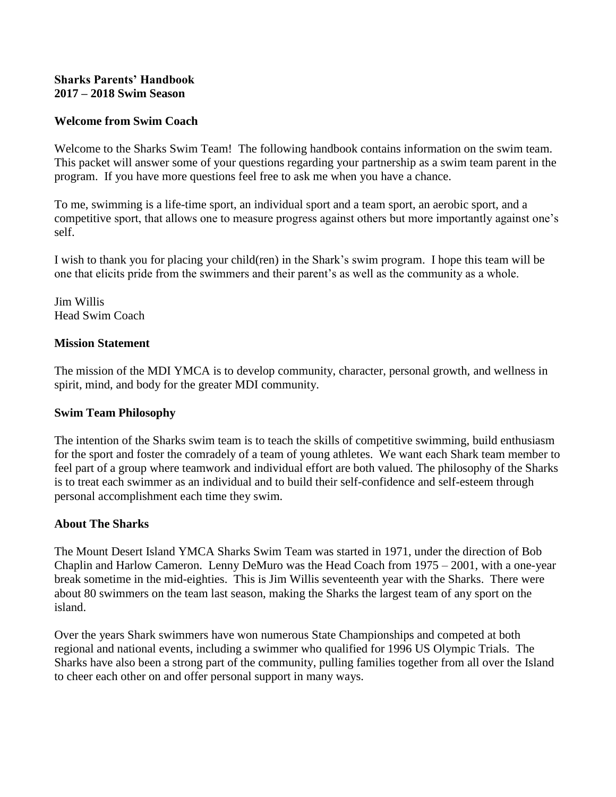## **Sharks Parents' Handbook 2017 – 2018 Swim Season**

## **Welcome from Swim Coach**

Welcome to the Sharks Swim Team! The following handbook contains information on the swim team. This packet will answer some of your questions regarding your partnership as a swim team parent in the program. If you have more questions feel free to ask me when you have a chance.

To me, swimming is a life-time sport, an individual sport and a team sport, an aerobic sport, and a competitive sport, that allows one to measure progress against others but more importantly against one's self.

I wish to thank you for placing your child(ren) in the Shark's swim program. I hope this team will be one that elicits pride from the swimmers and their parent's as well as the community as a whole.

Jim Willis Head Swim Coach

### **Mission Statement**

The mission of the MDI YMCA is to develop community, character, personal growth, and wellness in spirit, mind, and body for the greater MDI community.

## **Swim Team Philosophy**

The intention of the Sharks swim team is to teach the skills of competitive swimming, build enthusiasm for the sport and foster the comradely of a team of young athletes. We want each Shark team member to feel part of a group where teamwork and individual effort are both valued. The philosophy of the Sharks is to treat each swimmer as an individual and to build their self-confidence and self-esteem through personal accomplishment each time they swim.

## **About The Sharks**

The Mount Desert Island YMCA Sharks Swim Team was started in 1971, under the direction of Bob Chaplin and Harlow Cameron. Lenny DeMuro was the Head Coach from 1975 – 2001, with a one-year break sometime in the mid-eighties. This is Jim Willis seventeenth year with the Sharks. There were about 80 swimmers on the team last season, making the Sharks the largest team of any sport on the island.

Over the years Shark swimmers have won numerous State Championships and competed at both regional and national events, including a swimmer who qualified for 1996 US Olympic Trials. The Sharks have also been a strong part of the community, pulling families together from all over the Island to cheer each other on and offer personal support in many ways.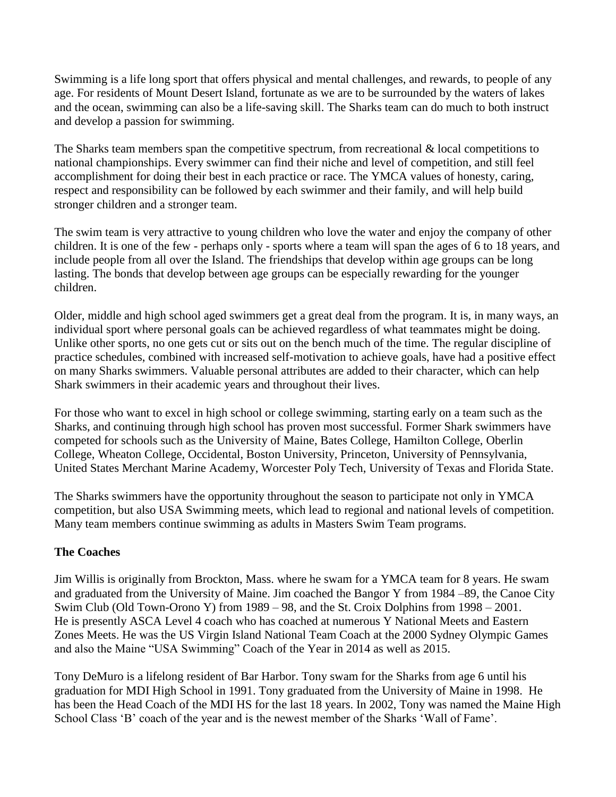Swimming is a life long sport that offers physical and mental challenges, and rewards, to people of any age. For residents of Mount Desert Island, fortunate as we are to be surrounded by the waters of lakes and the ocean, swimming can also be a life-saving skill. The Sharks team can do much to both instruct and develop a passion for swimming.

The Sharks team members span the competitive spectrum, from recreational & local competitions to national championships. Every swimmer can find their niche and level of competition, and still feel accomplishment for doing their best in each practice or race. The YMCA values of honesty, caring, respect and responsibility can be followed by each swimmer and their family, and will help build stronger children and a stronger team.

The swim team is very attractive to young children who love the water and enjoy the company of other children. It is one of the few - perhaps only - sports where a team will span the ages of 6 to 18 years, and include people from all over the Island. The friendships that develop within age groups can be long lasting. The bonds that develop between age groups can be especially rewarding for the younger children.

Older, middle and high school aged swimmers get a great deal from the program. It is, in many ways, an individual sport where personal goals can be achieved regardless of what teammates might be doing. Unlike other sports, no one gets cut or sits out on the bench much of the time. The regular discipline of practice schedules, combined with increased self-motivation to achieve goals, have had a positive effect on many Sharks swimmers. Valuable personal attributes are added to their character, which can help Shark swimmers in their academic years and throughout their lives.

For those who want to excel in high school or college swimming, starting early on a team such as the Sharks, and continuing through high school has proven most successful. Former Shark swimmers have competed for schools such as the University of Maine, Bates College, Hamilton College, Oberlin College, Wheaton College, Occidental, Boston University, Princeton, University of Pennsylvania, United States Merchant Marine Academy, Worcester Poly Tech, University of Texas and Florida State.

The Sharks swimmers have the opportunity throughout the season to participate not only in YMCA competition, but also USA Swimming meets, which lead to regional and national levels of competition. Many team members continue swimming as adults in Masters Swim Team programs.

# **The Coaches**

Jim Willis is originally from Brockton, Mass. where he swam for a YMCA team for 8 years. He swam and graduated from the University of Maine. Jim coached the Bangor Y from 1984 –89, the Canoe City Swim Club (Old Town-Orono Y) from 1989 – 98, and the St. Croix Dolphins from 1998 – 2001. He is presently ASCA Level 4 coach who has coached at numerous Y National Meets and Eastern Zones Meets. He was the US Virgin Island National Team Coach at the 2000 Sydney Olympic Games and also the Maine "USA Swimming" Coach of the Year in 2014 as well as 2015.

Tony DeMuro is a lifelong resident of Bar Harbor. Tony swam for the Sharks from age 6 until his graduation for MDI High School in 1991. Tony graduated from the University of Maine in 1998. He has been the Head Coach of the MDI HS for the last 18 years. In 2002, Tony was named the Maine High School Class 'B' coach of the year and is the newest member of the Sharks 'Wall of Fame'.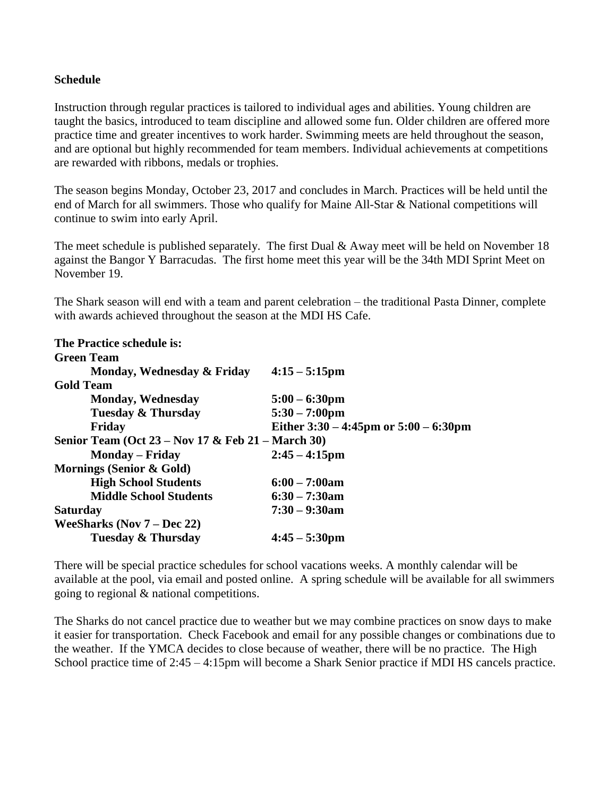## **Schedule**

Instruction through regular practices is tailored to individual ages and abilities. Young children are taught the basics, introduced to team discipline and allowed some fun. Older children are offered more practice time and greater incentives to work harder. Swimming meets are held throughout the season, and are optional but highly recommended for team members. Individual achievements at competitions are rewarded with ribbons, medals or trophies.

The season begins Monday, October 23, 2017 and concludes in March. Practices will be held until the end of March for all swimmers. Those who qualify for Maine All-Star & National competitions will continue to swim into early April.

The meet schedule is published separately. The first Dual & Away meet will be held on November 18 against the Bangor Y Barracudas. The first home meet this year will be the 34th MDI Sprint Meet on November 19.

The Shark season will end with a team and parent celebration – the traditional Pasta Dinner, complete with awards achieved throughout the season at the MDI HS Cafe.

| $4:15 - 5:15$ pm                                  |
|---------------------------------------------------|
|                                                   |
| $5:00 - 6:30 \text{pm}$                           |
| $5:30 - 7:00 \text{pm}$                           |
| Either $3:30 - 4:45$ pm or $5:00 - 6:30$ pm       |
| Senior Team (Oct 23 – Nov 17 & Feb 21 – March 30) |
| $2:45 - 4:15$ pm                                  |
|                                                   |
| $6:00 - 7:00am$                                   |
| $6:30 - 7:30$ am                                  |
| $7:30 - 9:30$ am                                  |
|                                                   |
| $4:45 - 5:30 \text{pm}$                           |
|                                                   |

There will be special practice schedules for school vacations weeks. A monthly calendar will be available at the pool, via email and posted online.A spring schedule will be available for all swimmers going to regional & national competitions.

The Sharks do not cancel practice due to weather but we may combine practices on snow days to make it easier for transportation. Check Facebook and email for any possible changes or combinations due to the weather. If the YMCA decides to close because of weather, there will be no practice. The High School practice time of  $2:45 - 4:15$ pm will become a Shark Senior practice if MDI HS cancels practice.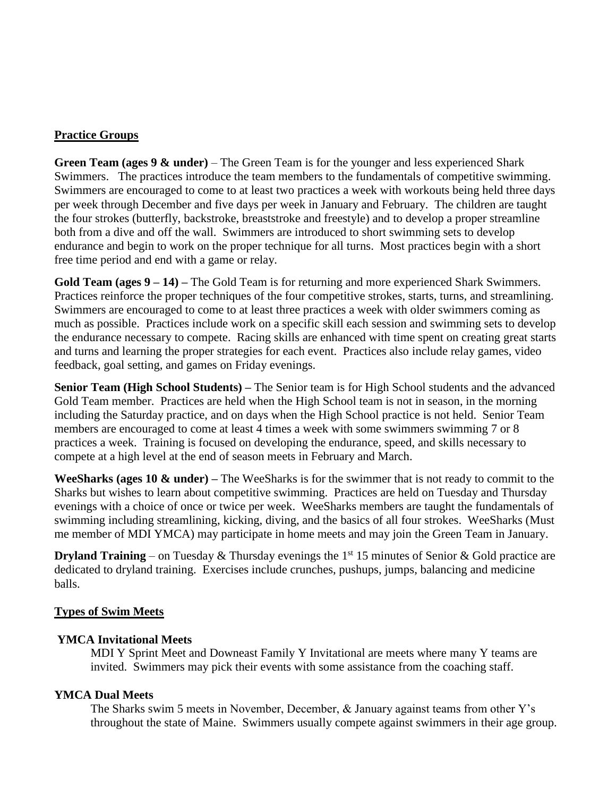## **Practice Groups**

**Green Team (ages 9 & under)** – The Green Team is for the younger and less experienced Shark Swimmers. The practices introduce the team members to the fundamentals of competitive swimming. Swimmers are encouraged to come to at least two practices a week with workouts being held three days per week through December and five days per week in January and February. The children are taught the four strokes (butterfly, backstroke, breaststroke and freestyle) and to develop a proper streamline both from a dive and off the wall. Swimmers are introduced to short swimming sets to develop endurance and begin to work on the proper technique for all turns. Most practices begin with a short free time period and end with a game or relay.

**Gold Team (ages 9 – 14) –** The Gold Team is for returning and more experienced Shark Swimmers. Practices reinforce the proper techniques of the four competitive strokes, starts, turns, and streamlining. Swimmers are encouraged to come to at least three practices a week with older swimmers coming as much as possible. Practices include work on a specific skill each session and swimming sets to develop the endurance necessary to compete. Racing skills are enhanced with time spent on creating great starts and turns and learning the proper strategies for each event. Practices also include relay games, video feedback, goal setting, and games on Friday evenings.

**Senior Team (High School Students) –** The Senior team is for High School students and the advanced Gold Team member. Practices are held when the High School team is not in season, in the morning including the Saturday practice, and on days when the High School practice is not held. Senior Team members are encouraged to come at least 4 times a week with some swimmers swimming 7 or 8 practices a week. Training is focused on developing the endurance, speed, and skills necessary to compete at a high level at the end of season meets in February and March.

**WeeSharks (ages 10 & under) –** The WeeSharks is for the swimmer that is not ready to commit to the Sharks but wishes to learn about competitive swimming. Practices are held on Tuesday and Thursday evenings with a choice of once or twice per week. WeeSharks members are taught the fundamentals of swimming including streamlining, kicking, diving, and the basics of all four strokes. WeeSharks (Must me member of MDI YMCA) may participate in home meets and may join the Green Team in January.

**Dryland Training** – on Tuesday & Thursday evenings the  $1<sup>st</sup> 15$  minutes of Senior & Gold practice are dedicated to dryland training. Exercises include crunches, pushups, jumps, balancing and medicine balls.

## **Types of Swim Meets**

## **YMCA Invitational Meets**

MDI Y Sprint Meet and Downeast Family Y Invitational are meets where many Y teams are invited. Swimmers may pick their events with some assistance from the coaching staff.

## **YMCA Dual Meets**

The Sharks swim 5 meets in November, December, & January against teams from other Y's throughout the state of Maine. Swimmers usually compete against swimmers in their age group.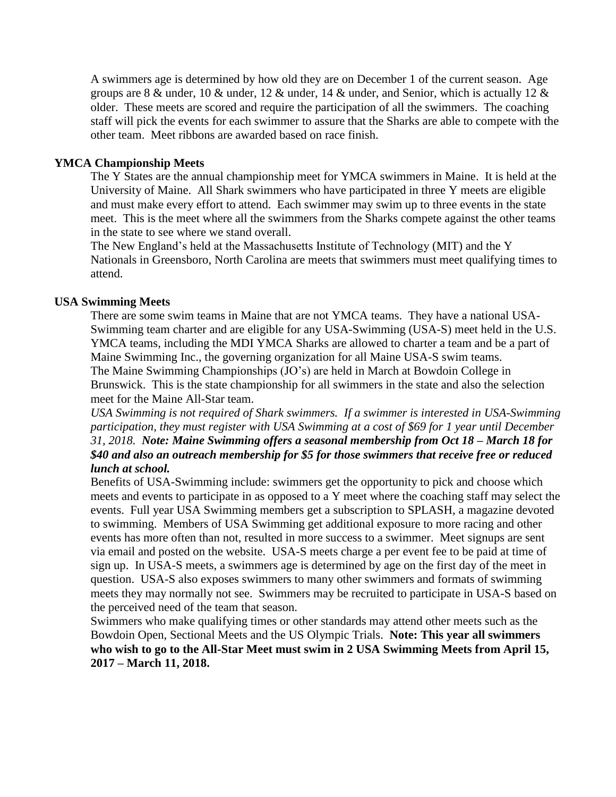A swimmers age is determined by how old they are on December 1 of the current season. Age groups are 8  $\&$  under, 10  $\&$  under, 12  $\&$  under, 14  $\&$  under, and Senior, which is actually 12  $\&$ older. These meets are scored and require the participation of all the swimmers. The coaching staff will pick the events for each swimmer to assure that the Sharks are able to compete with the other team. Meet ribbons are awarded based on race finish.

## **YMCA Championship Meets**

The Y States are the annual championship meet for YMCA swimmers in Maine. It is held at the University of Maine. All Shark swimmers who have participated in three Y meets are eligible and must make every effort to attend. Each swimmer may swim up to three events in the state meet. This is the meet where all the swimmers from the Sharks compete against the other teams in the state to see where we stand overall.

The New England's held at the Massachusetts Institute of Technology (MIT) and the Y Nationals in Greensboro, North Carolina are meets that swimmers must meet qualifying times to attend.

### **USA Swimming Meets**

There are some swim teams in Maine that are not YMCA teams. They have a national USA-Swimming team charter and are eligible for any USA-Swimming (USA-S) meet held in the U.S. YMCA teams, including the MDI YMCA Sharks are allowed to charter a team and be a part of Maine Swimming Inc., the governing organization for all Maine USA-S swim teams. The Maine Swimming Championships (JO's) are held in March at Bowdoin College in Brunswick. This is the state championship for all swimmers in the state and also the selection meet for the Maine All-Star team.

*USA Swimming is not required of Shark swimmers. If a swimmer is interested in USA-Swimming participation, they must register with USA Swimming at a cost of \$69 for 1 year until December 31, 2018. Note: Maine Swimming offers a seasonal membership from Oct 18 – March 18 for \$40 and also an outreach membership for \$5 for those swimmers that receive free or reduced lunch at school.* 

Benefits of USA-Swimming include: swimmers get the opportunity to pick and choose which meets and events to participate in as opposed to a Y meet where the coaching staff may select the events. Full year USA Swimming members get a subscription to SPLASH, a magazine devoted to swimming. Members of USA Swimming get additional exposure to more racing and other events has more often than not, resulted in more success to a swimmer. Meet signups are sent via email and posted on the website. USA-S meets charge a per event fee to be paid at time of sign up. In USA-S meets, a swimmers age is determined by age on the first day of the meet in question. USA-S also exposes swimmers to many other swimmers and formats of swimming meets they may normally not see. Swimmers may be recruited to participate in USA-S based on the perceived need of the team that season.

Swimmers who make qualifying times or other standards may attend other meets such as the Bowdoin Open, Sectional Meets and the US Olympic Trials. **Note: This year all swimmers who wish to go to the All-Star Meet must swim in 2 USA Swimming Meets from April 15, 2017 – March 11, 2018.**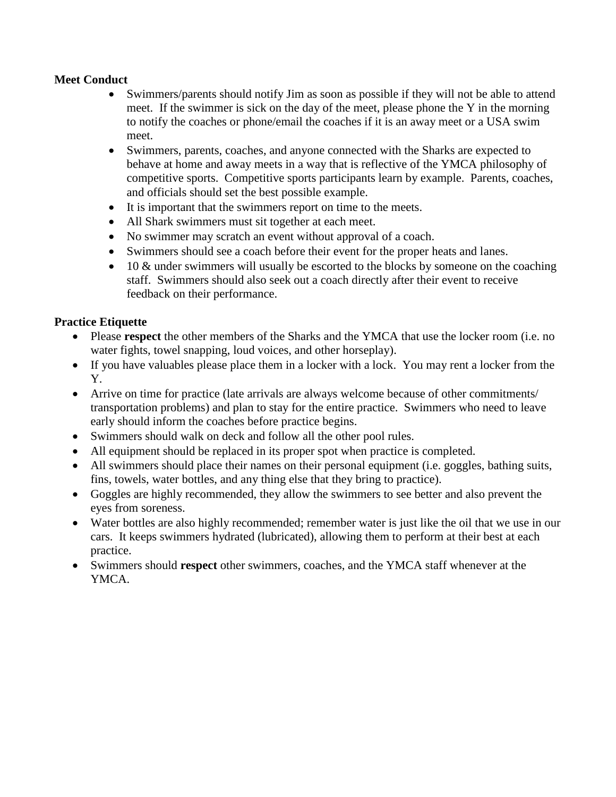# **Meet Conduct**

- Swimmers/parents should notify Jim as soon as possible if they will not be able to attend meet. If the swimmer is sick on the day of the meet, please phone the Y in the morning to notify the coaches or phone/email the coaches if it is an away meet or a USA swim meet.
- Swimmers, parents, coaches, and anyone connected with the Sharks are expected to behave at home and away meets in a way that is reflective of the YMCA philosophy of competitive sports. Competitive sports participants learn by example. Parents, coaches, and officials should set the best possible example.
- It is important that the swimmers report on time to the meets.
- All Shark swimmers must sit together at each meet.
- No swimmer may scratch an event without approval of a coach.
- Swimmers should see a coach before their event for the proper heats and lanes.
- $\bullet$  10 & under swimmers will usually be escorted to the blocks by someone on the coaching staff. Swimmers should also seek out a coach directly after their event to receive feedback on their performance.

# **Practice Etiquette**

- Please **respect** the other members of the Sharks and the YMCA that use the locker room (i.e. no water fights, towel snapping, loud voices, and other horseplay).
- If you have valuables please place them in a locker with a lock. You may rent a locker from the Y.
- Arrive on time for practice (late arrivals are always welcome because of other commitments/ transportation problems) and plan to stay for the entire practice. Swimmers who need to leave early should inform the coaches before practice begins.
- Swimmers should walk on deck and follow all the other pool rules.
- All equipment should be replaced in its proper spot when practice is completed.
- All swimmers should place their names on their personal equipment (i.e. goggles, bathing suits, fins, towels, water bottles, and any thing else that they bring to practice).
- Goggles are highly recommended, they allow the swimmers to see better and also prevent the eyes from soreness.
- Water bottles are also highly recommended; remember water is just like the oil that we use in our cars. It keeps swimmers hydrated (lubricated), allowing them to perform at their best at each practice.
- Swimmers should **respect** other swimmers, coaches, and the YMCA staff whenever at the YMCA.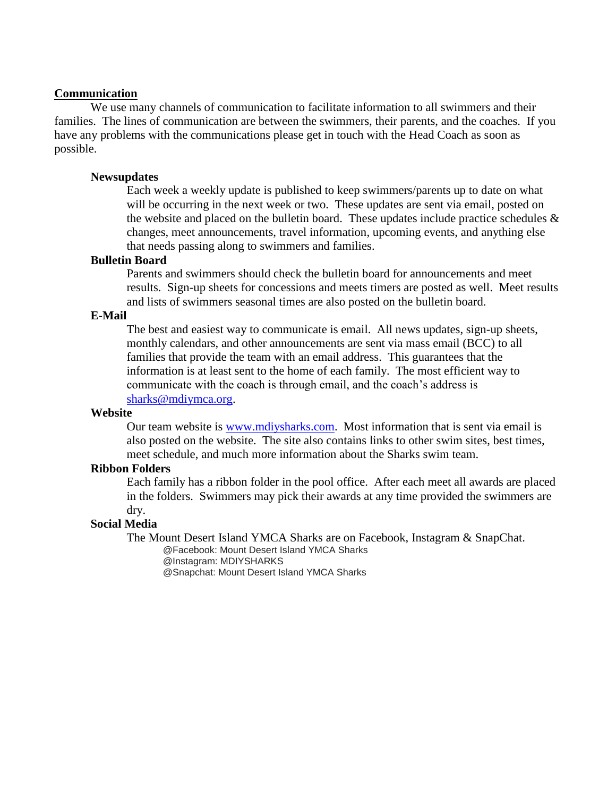#### **Communication**

We use many channels of communication to facilitate information to all swimmers and their families. The lines of communication are between the swimmers, their parents, and the coaches. If you have any problems with the communications please get in touch with the Head Coach as soon as possible.

#### **Newsupdates**

Each week a weekly update is published to keep swimmers/parents up to date on what will be occurring in the next week or two. These updates are sent via email, posted on the website and placed on the bulletin board. These updates include practice schedules  $\&$ changes, meet announcements, travel information, upcoming events, and anything else that needs passing along to swimmers and families.

## **Bulletin Board**

Parents and swimmers should check the bulletin board for announcements and meet results. Sign-up sheets for concessions and meets timers are posted as well. Meet results and lists of swimmers seasonal times are also posted on the bulletin board.

## **E-Mail**

The best and easiest way to communicate is email. All news updates, sign-up sheets, monthly calendars, and other announcements are sent via mass email (BCC) to all families that provide the team with an email address. This guarantees that the information is at least sent to the home of each family. The most efficient way to communicate with the coach is through email, and the coach's address is [sharks@mdiymca.org.](mailto:sharks@mdiymca.org)

#### **Website**

Our team website is [www.mdiysharks.com.](http://www.mdiysharks.com/) Most information that is sent via email is also posted on the website. The site also contains links to other swim sites, best times, meet schedule, and much more information about the Sharks swim team.

#### **Ribbon Folders**

Each family has a ribbon folder in the pool office. After each meet all awards are placed in the folders. Swimmers may pick their awards at any time provided the swimmers are dry.

#### **Social Media**

The Mount Desert Island YMCA Sharks are on Facebook, Instagram & SnapChat.

@Facebook: Mount Desert Island YMCA Sharks @Instagram: MDIYSHARKS

@Snapchat: Mount Desert Island YMCA Sharks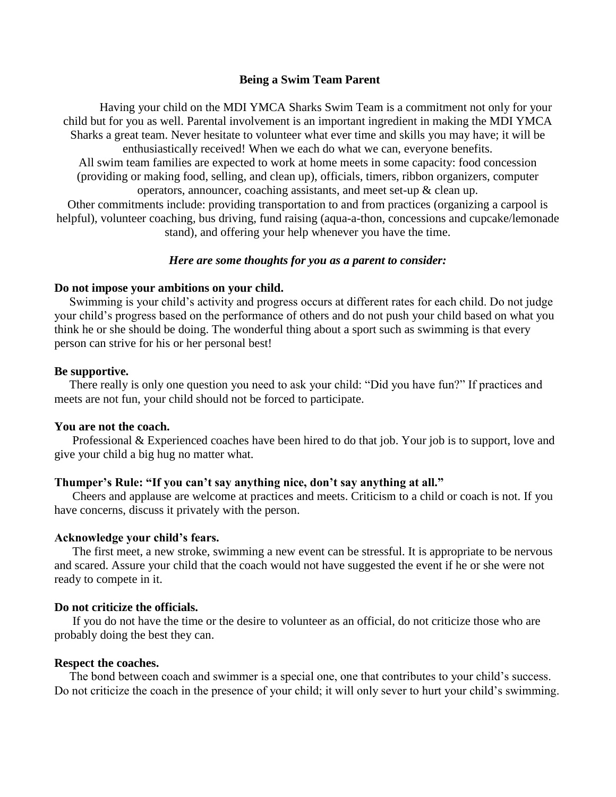### **Being a Swim Team Parent**

Having your child on the MDI YMCA Sharks Swim Team is a commitment not only for your child but for you as well. Parental involvement is an important ingredient in making the MDI YMCA Sharks a great team. Never hesitate to volunteer what ever time and skills you may have; it will be enthusiastically received! When we each do what we can, everyone benefits.

All swim team families are expected to work at home meets in some capacity: food concession (providing or making food, selling, and clean up), officials, timers, ribbon organizers, computer operators, announcer, coaching assistants, and meet set-up & clean up.

Other commitments include: providing transportation to and from practices (organizing a carpool is helpful), volunteer coaching, bus driving, fund raising (aqua-a-thon, concessions and cupcake/lemonade stand), and offering your help whenever you have the time.

## *Here are some thoughts for you as a parent to consider:*

#### **Do not impose your ambitions on your child.**

 Swimming is your child's activity and progress occurs at different rates for each child. Do not judge your child's progress based on the performance of others and do not push your child based on what you think he or she should be doing. The wonderful thing about a sport such as swimming is that every person can strive for his or her personal best!

#### **Be supportive.**

 There really is only one question you need to ask your child: "Did you have fun?" If practices and meets are not fun, your child should not be forced to participate.

#### **You are not the coach.**

 Professional & Experienced coaches have been hired to do that job. Your job is to support, love and give your child a big hug no matter what.

#### **Thumper's Rule: "If you can't say anything nice, don't say anything at all."**

 Cheers and applause are welcome at practices and meets. Criticism to a child or coach is not. If you have concerns, discuss it privately with the person.

#### **Acknowledge your child's fears.**

 The first meet, a new stroke, swimming a new event can be stressful. It is appropriate to be nervous and scared. Assure your child that the coach would not have suggested the event if he or she were not ready to compete in it.

#### **Do not criticize the officials.**

 If you do not have the time or the desire to volunteer as an official, do not criticize those who are probably doing the best they can.

#### **Respect the coaches.**

 The bond between coach and swimmer is a special one, one that contributes to your child's success. Do not criticize the coach in the presence of your child; it will only sever to hurt your child's swimming.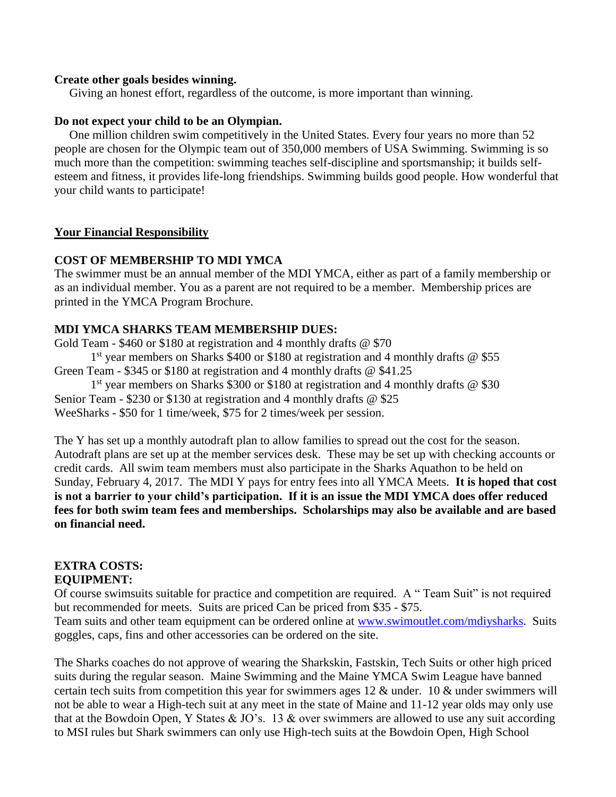### **Create other goals besides winning.**

Giving an honest effort, regardless of the outcome, is more important than winning.

### **Do not expect your child to be an Olympian.**

 One million children swim competitively in the United States. Every four years no more than 52 people are chosen for the Olympic team out of 350,000 members of USA Swimming. Swimming is so much more than the competition: swimming teaches self-discipline and sportsmanship; it builds selfesteem and fitness, it provides life-long friendships. Swimming builds good people. How wonderful that your child wants to participate!

## **Your Financial Responsibility**

## **COST OF MEMBERSHIP TO MDI YMCA**

The swimmer must be an annual member of the MDI YMCA, either as part of a family membership or as an individual member. You as a parent are not required to be a member. Membership prices are printed in the YMCA Program Brochure.

## **MDI YMCA SHARKS TEAM MEMBERSHIP DUES:**

Gold Team - \$460 or \$180 at registration and 4 monthly drafts @ \$70 1<sup>st</sup> year members on Sharks \$400 or \$180 at registration and 4 monthly drafts @ \$55 Green Team - \$345 or \$180 at registration and 4 monthly drafts @ \$41.25 1<sup>st</sup> year members on Sharks \$300 or \$180 at registration and 4 monthly drafts @ \$30 Senior Team - \$230 or \$130 at registration and 4 monthly drafts @ \$25 WeeSharks - \$50 for 1 time/week, \$75 for 2 times/week per session.

The Y has set up a monthly autodraft plan to allow families to spread out the cost for the season. Autodraft plans are set up at the member services desk. These may be set up with checking accounts or credit cards. All swim team members must also participate in the Sharks Aquathon to be held on Sunday, February 4, 2017. The MDI Y pays for entry fees into all YMCA Meets. **It is hoped that cost is not a barrier to your child's participation. If it is an issue the MDI YMCA does offer reduced fees for both swim team fees and memberships. Scholarships may also be available and are based on financial need.**

#### **EXTRA COSTS: EQUIPMENT:**

Of course swimsuits suitable for practice and competition are required. A " Team Suit" is not required but recommended for meets. Suits are priced Can be priced from \$35 - \$75.

Team suits and other team equipment can be ordered online at [www.swimoutlet.com/mdiysharks.](http://www.swimoutlet.com/mdiysharks) Suits goggles, caps, fins and other accessories can be ordered on the site.

The Sharks coaches do not approve of wearing the Sharkskin, Fastskin, Tech Suits or other high priced suits during the regular season. Maine Swimming and the Maine YMCA Swim League have banned certain tech suits from competition this year for swimmers ages 12 & under. 10 & under swimmers will not be able to wear a High-tech suit at any meet in the state of Maine and 11-12 year olds may only use that at the Bowdoin Open, Y States  $& JO's.$  13  $&$  over swimmers are allowed to use any suit according to MSI rules but Shark swimmers can only use High-tech suits at the Bowdoin Open, High School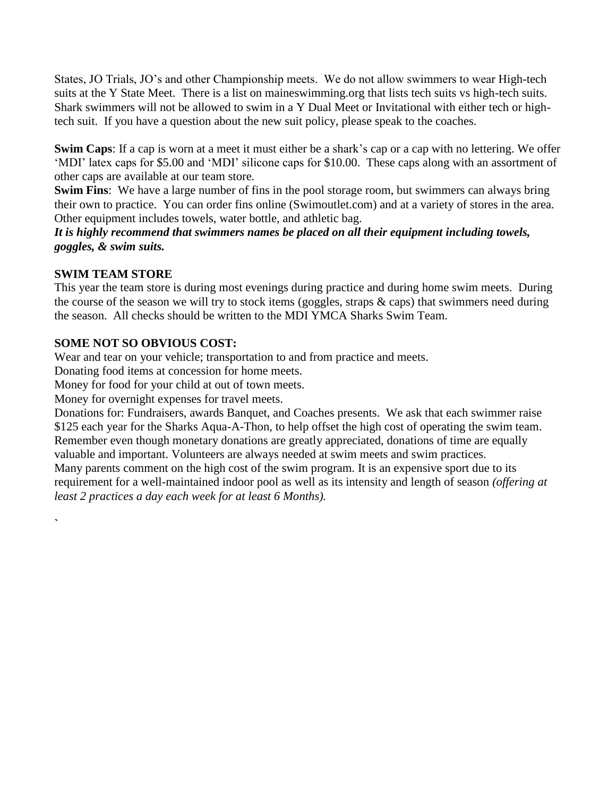States, JO Trials, JO's and other Championship meets. We do not allow swimmers to wear High-tech suits at the Y State Meet. There is a list on maineswimming.org that lists tech suits vs high-tech suits. Shark swimmers will not be allowed to swim in a Y Dual Meet or Invitational with either tech or hightech suit. If you have a question about the new suit policy, please speak to the coaches.

**Swim Caps**: If a cap is worn at a meet it must either be a shark's cap or a cap with no lettering. We offer 'MDI' latex caps for \$5.00 and 'MDI' silicone caps for \$10.00. These caps along with an assortment of other caps are available at our team store.

**Swim Fins**: We have a large number of fins in the pool storage room, but swimmers can always bring their own to practice. You can order fins online (Swimoutlet.com) and at a variety of stores in the area. Other equipment includes towels, water bottle, and athletic bag.

*It is highly recommend that swimmers names be placed on all their equipment including towels, goggles, & swim suits.*

# **SWIM TEAM STORE**

**`** 

This year the team store is during most evenings during practice and during home swim meets. During the course of the season we will try to stock items (goggles, straps & caps) that swimmers need during the season. All checks should be written to the MDI YMCA Sharks Swim Team.

# **SOME NOT SO OBVIOUS COST:**

Wear and tear on your vehicle; transportation to and from practice and meets.

Donating food items at concession for home meets.

Money for food for your child at out of town meets.

Money for overnight expenses for travel meets.

Donations for: Fundraisers, awards Banquet, and Coaches presents. We ask that each swimmer raise \$125 each year for the Sharks Aqua-A-Thon, to help offset the high cost of operating the swim team. Remember even though monetary donations are greatly appreciated, donations of time are equally valuable and important. Volunteers are always needed at swim meets and swim practices.

Many parents comment on the high cost of the swim program. It is an expensive sport due to its requirement for a well-maintained indoor pool as well as its intensity and length of season *(offering at least 2 practices a day each week for at least 6 Months).*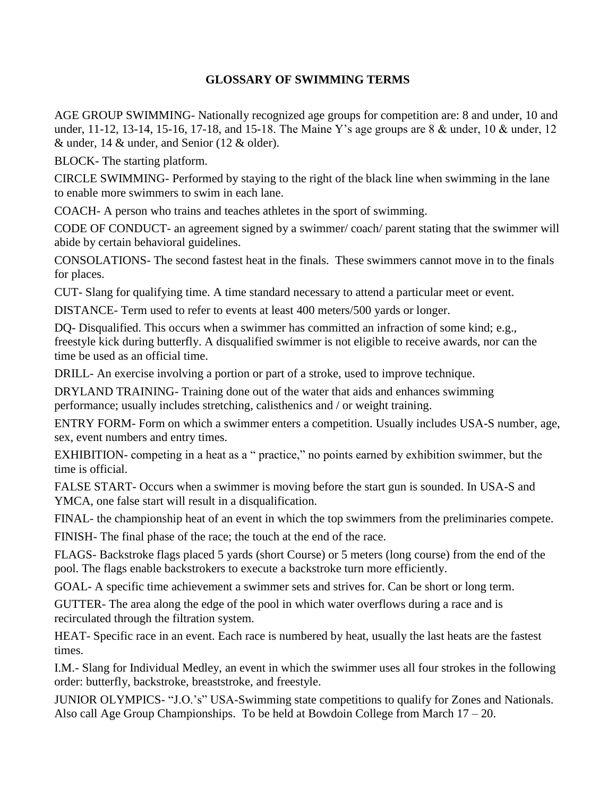# **GLOSSARY OF SWIMMING TERMS**

AGE GROUP SWIMMING- Nationally recognized age groups for competition are: 8 and under, 10 and under, 11-12, 13-14, 15-16, 17-18, and 15-18. The Maine Y's age groups are 8 & under, 10 & under, 12 & under, 14 & under, and Senior (12 & older).

BLOCK- The starting platform.

CIRCLE SWIMMING- Performed by staying to the right of the black line when swimming in the lane to enable more swimmers to swim in each lane.

COACH- A person who trains and teaches athletes in the sport of swimming.

CODE OF CONDUCT- an agreement signed by a swimmer/ coach/ parent stating that the swimmer will abide by certain behavioral guidelines.

CONSOLATIONS- The second fastest heat in the finals. These swimmers cannot move in to the finals for places.

CUT- Slang for qualifying time. A time standard necessary to attend a particular meet or event.

DISTANCE- Term used to refer to events at least 400 meters/500 yards or longer.

DQ- Disqualified. This occurs when a swimmer has committed an infraction of some kind; e.g., freestyle kick during butterfly. A disqualified swimmer is not eligible to receive awards, nor can the time be used as an official time.

DRILL- An exercise involving a portion or part of a stroke, used to improve technique.

DRYLAND TRAINING- Training done out of the water that aids and enhances swimming performance; usually includes stretching, calisthenics and / or weight training.

ENTRY FORM- Form on which a swimmer enters a competition. Usually includes USA-S number, age, sex, event numbers and entry times.

EXHIBITION- competing in a heat as a " practice," no points earned by exhibition swimmer, but the time is official.

FALSE START- Occurs when a swimmer is moving before the start gun is sounded. In USA-S and YMCA, one false start will result in a disqualification.

FINAL- the championship heat of an event in which the top swimmers from the preliminaries compete.

FINISH- The final phase of the race; the touch at the end of the race.

FLAGS- Backstroke flags placed 5 yards (short Course) or 5 meters (long course) from the end of the pool. The flags enable backstrokers to execute a backstroke turn more efficiently.

GOAL- A specific time achievement a swimmer sets and strives for. Can be short or long term.

GUTTER- The area along the edge of the pool in which water overflows during a race and is recirculated through the filtration system.

HEAT- Specific race in an event. Each race is numbered by heat, usually the last heats are the fastest times.

I.M.- Slang for Individual Medley, an event in which the swimmer uses all four strokes in the following order: butterfly, backstroke, breaststroke, and freestyle.

JUNIOR OLYMPICS- "J.O.'s" USA-Swimming state competitions to qualify for Zones and Nationals. Also call Age Group Championships. To be held at Bowdoin College from March 17 – 20.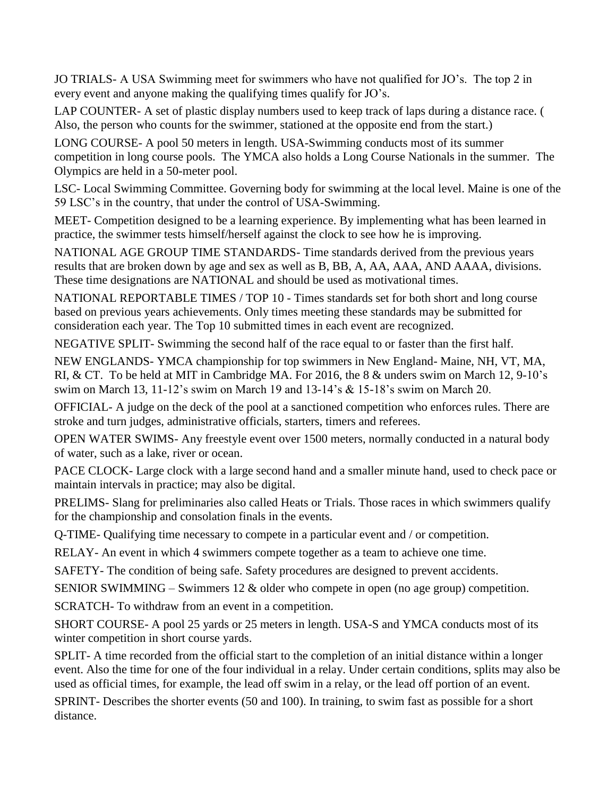JO TRIALS- A USA Swimming meet for swimmers who have not qualified for JO's. The top 2 in every event and anyone making the qualifying times qualify for JO's.

LAP COUNTER- A set of plastic display numbers used to keep track of laps during a distance race. ( Also, the person who counts for the swimmer, stationed at the opposite end from the start.)

LONG COURSE- A pool 50 meters in length. USA-Swimming conducts most of its summer competition in long course pools. The YMCA also holds a Long Course Nationals in the summer. The Olympics are held in a 50-meter pool.

LSC- Local Swimming Committee. Governing body for swimming at the local level. Maine is one of the 59 LSC's in the country, that under the control of USA-Swimming.

MEET- Competition designed to be a learning experience. By implementing what has been learned in practice, the swimmer tests himself/herself against the clock to see how he is improving.

NATIONAL AGE GROUP TIME STANDARDS- Time standards derived from the previous years results that are broken down by age and sex as well as B, BB, A, AA, AAA, AND AAAA, divisions. These time designations are NATIONAL and should be used as motivational times.

NATIONAL REPORTABLE TIMES / TOP 10 - Times standards set for both short and long course based on previous years achievements. Only times meeting these standards may be submitted for consideration each year. The Top 10 submitted times in each event are recognized.

NEGATIVE SPLIT- Swimming the second half of the race equal to or faster than the first half.

NEW ENGLANDS- YMCA championship for top swimmers in New England- Maine, NH, VT, MA, RI, & CT. To be held at MIT in Cambridge MA. For 2016, the 8 & unders swim on March 12, 9-10's swim on March 13, 11-12's swim on March 19 and 13-14's & 15-18's swim on March 20.

OFFICIAL- A judge on the deck of the pool at a sanctioned competition who enforces rules. There are stroke and turn judges, administrative officials, starters, timers and referees.

OPEN WATER SWIMS- Any freestyle event over 1500 meters, normally conducted in a natural body of water, such as a lake, river or ocean.

PACE CLOCK- Large clock with a large second hand and a smaller minute hand, used to check pace or maintain intervals in practice; may also be digital.

PRELIMS- Slang for preliminaries also called Heats or Trials. Those races in which swimmers qualify for the championship and consolation finals in the events.

Q-TIME- Qualifying time necessary to compete in a particular event and / or competition.

RELAY- An event in which 4 swimmers compete together as a team to achieve one time.

SAFETY- The condition of being safe. Safety procedures are designed to prevent accidents.

SENIOR SWIMMING – Swimmers 12 & older who compete in open (no age group) competition.

SCRATCH- To withdraw from an event in a competition.

SHORT COURSE- A pool 25 yards or 25 meters in length. USA-S and YMCA conducts most of its winter competition in short course yards.

SPLIT- A time recorded from the official start to the completion of an initial distance within a longer event. Also the time for one of the four individual in a relay. Under certain conditions, splits may also be used as official times, for example, the lead off swim in a relay, or the lead off portion of an event.

SPRINT- Describes the shorter events (50 and 100). In training, to swim fast as possible for a short distance.